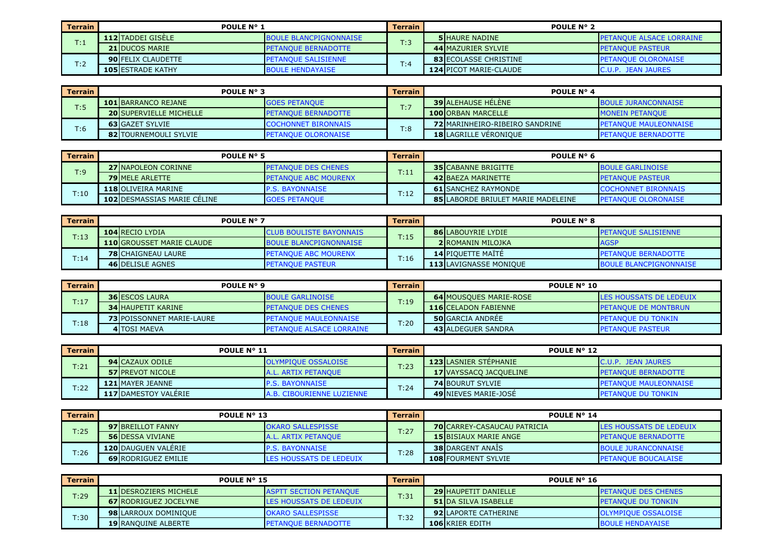| <b>Terrain</b> | <b>POULE N° 1</b>         |                             | <b>Terrain</b> | <b>POULE N° 2</b>             |                                  |
|----------------|---------------------------|-----------------------------|----------------|-------------------------------|----------------------------------|
| T:1            | <b>112 TADDEI GISELE</b>  | BOULE BLANCPIGNONNAISE      | T:3            | <b>5 HAURE NADINE</b>         | <b>IPETANOUE ALSACE LORRAINE</b> |
|                | <b>21 DUCOS MARIE</b>     | <b>PETANQUE BERNADOTTE</b>  |                | 44 MAZURIER SYLVIE            | <b>IPETANQUE PASTEUR</b>         |
| T:2            | <b>90 FELIX CLAUDETTE</b> | <b>IPETANOUE SALISIENNE</b> |                | <b>83 ECOLASSE CHRISTINE</b>  | <b>PETANQUE OLORONAISE</b>       |
|                | <b>105 ESTRADE KATHY</b>  | <b>BOULE HENDAYAISE</b>     | T:4            | <b>124 PICOT MARIE-CLAUDE</b> | C.U.P. JEAN JAURES               |

| <b>Terrain</b> | POULE N° 3                     |                            | Terrain                             | <b>POULE N° 4</b>              |                              |
|----------------|--------------------------------|----------------------------|-------------------------------------|--------------------------------|------------------------------|
| T:5            | <b>101 BARRANCO REJANE</b>     | <b>GOES PETANOUE</b>       | T:7                                 | <b>39 ALEHAUSE HELENE</b>      | <b>BOULE JURANCONNAISE</b>   |
|                | <b>20 SUPERVIELLE MICHELLE</b> | <b>PETANQUE BERNADOTTE</b> |                                     | <b>100 ORBAN MARCELLE</b>      | <b>IMONEIN PETANOUE</b>      |
| T:6            | <b>63 GAZET SYLVIE</b>         | <b>COCHONNET BIRONNAIS</b> |                                     | 72 MARINHEIRO-RIBEIRO SANDRINE | <b>PETANOUE MAULEONNAISE</b> |
|                | <b>82 TOURNEMOULI SYLVIE</b>   | <b>PETANOUE OLORONAISE</b> | T:8<br><b>18 LAGRILLE VERONIOUE</b> |                                | <b>IPETANOUE BERNADOTTE</b>  |

| <b>Terrain</b> | POULE N° 5                         |                             | <b>Terrain</b> | <b>POULE N° 6</b>                                 |                               |
|----------------|------------------------------------|-----------------------------|----------------|---------------------------------------------------|-------------------------------|
| T:9            | <b>27 INAPOLEON CORINNE</b>        | <b>PETANOUE DES CHENES</b>  | T:11           | <b>35 CABANNE BRIGITTE</b>                        | <b>BOULE GARLINOISE</b>       |
|                | <b>79 MELE ARLETTE</b>             | <b>PETANQUE ABC MOURENX</b> |                | <b>42 BAEZA MARINETTE</b>                         | <b>PETANQUE PASTEUR</b>       |
| T:10           | <b>118 OLIVEIRA MARINE</b>         | <b>P.S. BAYONNAISE</b>      |                | <b>61 ISANCHEZ RAYMONDE</b>                       | <b>COCHONNET BIRONNAIS</b>    |
|                | <b>102 DESMASSIAS MARIE CELINE</b> | <b>GOES PETANQUE</b>        |                | T:12<br><b>85 LABORDE BRIULET MARIE MADELEINE</b> | <b>INTERFANOUE OLORONAISE</b> |

| Terrain | <b>POULE N° 7</b>                |                                | <b>Terrain</b> | <b>POULE N° 8</b>             |                               |
|---------|----------------------------------|--------------------------------|----------------|-------------------------------|-------------------------------|
| T:13    | <b>104 RECIO LYDIA</b>           | <b>CLUB BOULISTE BAYONNAIS</b> | T:15           | <b>86 LABOUYRIE LYDIE</b>     | <b>PETANOUE SALISIENNE</b>    |
|         | <b>110</b> GROUSSET MARIE CLAUDE | <b>BOULE BLANCPIGNONNAISE</b>  |                | <b>2 ROMANIN MILOJKA</b>      | <b>AGSP</b>                   |
| T:14    | <b>78 CHAIGNEAU LAURE</b>        | <b>PETANOUE ABC MOURENX</b>    | T:16           | <b>14 PIQUETTE MAÏTE</b>      | <b>PETANQUE BERNADOTTE</b>    |
|         | <b>46 DELISLE AGNES</b>          | <b>PETANQUE PASTEUR</b>        |                | <b>113 LAVIGNASSE MONIQUE</b> | <b>BOULE BLANCPIGNONNAISE</b> |

| <b>Terrain</b> | POULE N° 9                       |                                 | <b>Terrain</b> | POULE N° 10                   |                              |
|----------------|----------------------------------|---------------------------------|----------------|-------------------------------|------------------------------|
| 17             | <b>36 ESCOS LAURA</b>            | <b>BOULE GARLINOISE</b>         | T:19           | <b>64 MOUSOUES MARIE-ROSE</b> | LES HOUSSATS DE LEDEUIX      |
|                | <b>34 HAUPETIT KARINE</b>        | <b>IPETANOUE DES CHENES</b>     |                | <b>116 CELADON FABIENNE</b>   | <b>IPETANOUE DE MONTBRUN</b> |
| $\lceil$ :18   | <b>73 POISSONNET MARIE-LAURE</b> | <b>I PETANOUE MAULEONNAISE</b>  | T:20           | <b>50 GARCIA ANDREE</b>       | <b>PETANOUE DU TONKIN</b>    |
|                | 4 TOSI MAEVA                     | <b>PETANOUE ALSACE LORRAINE</b> |                | 43 ALDEGUER SANDRA            | <b>PETANQUE PASTEUR</b>      |

| <b>Terrain</b> | POULE N° 11                 |                            | <b>Terrain</b> | POULE N° 12                  |                              |
|----------------|-----------------------------|----------------------------|----------------|------------------------------|------------------------------|
| T:21           | <b>94 CAZAUX ODILE</b>      | <b>OLYMPIOUE OSSALOISE</b> | T:23           | <b>123 LASNIER STEPHANIE</b> | <b>C.U.P. JEAN JAURES</b>    |
|                | <b>57 PREVOT NICOLE</b>     | <b>A.L. ARTIX PETANOUE</b> |                | 17 VAYSSACO JACQUELINE       | <b>PETANQUE BERNADOTTE</b>   |
| T:22           | <b>121 IMAYER JEANNE</b>    | <b>P.S. BAYONNAISE</b>     |                | <b>74 BOURUT SYLVIE</b>      | <b>PETANOUE MAULEONNAISE</b> |
|                | <b>117 DAMESTOY VALERIE</b> | A.B. CIBOURIENNE LUZIENNE  | T:24           | <b>49 INIEVES MARIE-JOSE</b> | <b>PETANQUE DU TONKIN</b>    |

| Terrain | POULE N° 13                |                            | <b>Terrain</b> | POULE N° 14                         |                                |
|---------|----------------------------|----------------------------|----------------|-------------------------------------|--------------------------------|
| T:25    | <b>97 BREILLOT FANNY</b>   | <b>OKARO SALLESPISSE</b>   | T:27           | <b>70 ICARREY-CASAUCAU PATRICIA</b> | <b>LES HOUSSATS DE LEDEUIX</b> |
|         | <b>56 DESSA VIVIANE</b>    | <b>A.L. ARTIX PETANOUE</b> |                | <b>15 BISIAUX MARIE ANGE</b>        | <b>PETANQUE BERNADOTTE</b>     |
| T:26    | <b>120 DAUGUEN VALERIE</b> | <b>P.S. BAYONNAISE</b>     | T:28           | <b>38 DARGENT ANAIS</b>             | <b>BOULE JURANCONNAISE</b>     |
|         | <b>69 RODRIGUEZ EMILIE</b> | LES HOUSSATS DE LEDEUIX    |                | <b>108 FOURMENT SYLVIE</b>          | <b>PETANQUE BOUCALAISE</b>     |

| <b>Terrain</b> | POULE N° 15                   |                                 | <b>Terrain</b> | POULE $N^{\circ}$ 16         |                            |
|----------------|-------------------------------|---------------------------------|----------------|------------------------------|----------------------------|
| T:29           | <b>11 IDESROZIERS MICHELE</b> | <b>ASPTT SECTION PETANQUE</b>   | T:31           | <b>29 HAUPETIT DANIELLE</b>  | <b>PETANQUE DES CHENES</b> |
|                | <b>67 RODRIGUEZ JOCELYNE</b>  | <b>ILES HOUSSATS DE LEDEUIX</b> |                | <b>51 IDA SILVA ISABELLE</b> | <b>IPETANOUE DU TONKIN</b> |
| T:30           | 98 LARROUX DOMINIQUE          | <b>OKARO SALLESPISSE</b>        |                | <b>92 LAPORTE CATHERINE</b>  | <b>OLYMPIQUE OSSALOISE</b> |
|                | <b>19 RANOUINE ALBERTE</b>    | <b>PETANOUE BERNADOTTE</b>      | T:32           | <b>106 KRIER EDITH</b>       | <b>BOULE HENDAYAISE</b>    |